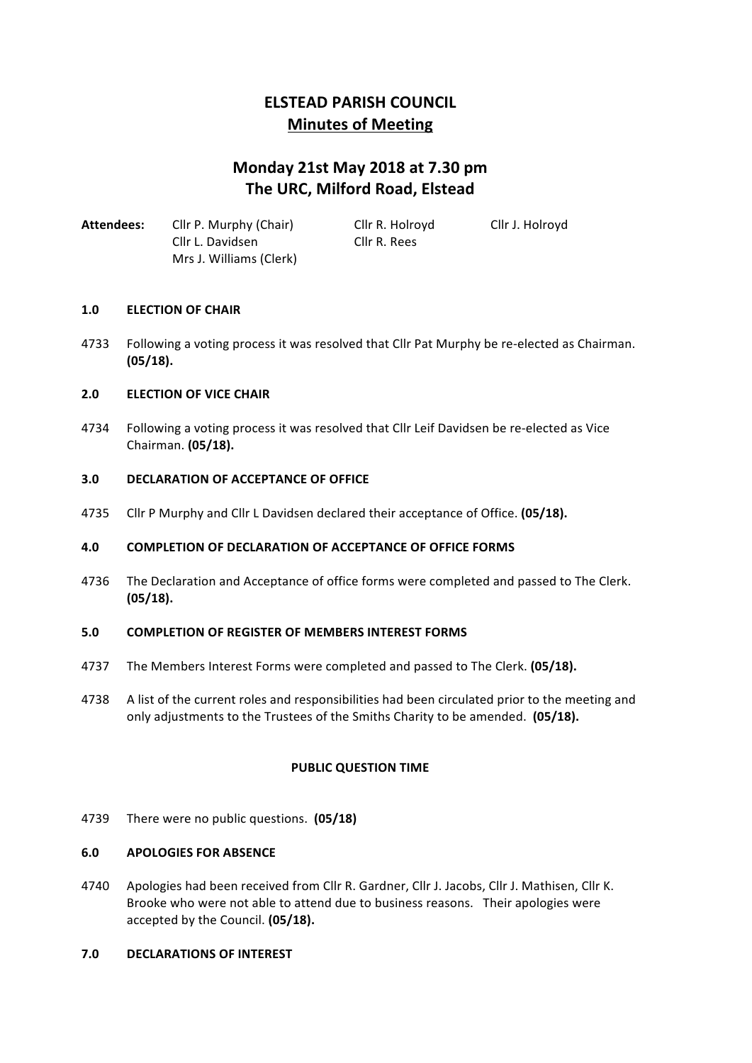# **ELSTEAD PARISH COUNCIL Minutes of Meeting**

# **Monday 21st May 2018 at 7.30 pm The URC, Milford Road, Elstead**

Attendees: Cllr P. Murphy (Chair) Cllr R. Holroyd Cllr J. Holroyd Cllr L. Davidsen Cllr R. Rees Mrs J. Williams (Clerk)

# **1.0 ELECTION OF CHAIR**

4733 Following a voting process it was resolved that Cllr Pat Murphy be re-elected as Chairman. **(05/18).**

# **2.0 ELECTION OF VICE CHAIR**

4734 Following a voting process it was resolved that Cllr Leif Davidsen be re-elected as Vice Chairman. **(05/18).**

## **3.0 DECLARATION OF ACCEPTANCE OF OFFICE**

4735 Cllr P Murphy and Cllr L Davidsen declared their acceptance of Office. (05/18).

## **4.0 COMPLETION OF DECLARATION OF ACCEPTANCE OF OFFICE FORMS**

4736 The Declaration and Acceptance of office forms were completed and passed to The Clerk. **(05/18).**

## **5.0 COMPLETION OF REGISTER OF MEMBERS INTEREST FORMS**

- 4737 The Members Interest Forms were completed and passed to The Clerk. (05/18).
- 4738 A list of the current roles and responsibilities had been circulated prior to the meeting and only adjustments to the Trustees of the Smiths Charity to be amended. (05/18).

## **PUBLIC QUESTION TIME**

4739 There were no public questions. **(05/18)** 

# **6.0 APOLOGIES FOR ABSENCE**

4740 Apologies had been received from Cllr R. Gardner, Cllr J. Jacobs, Cllr J. Mathisen, Cllr K. Brooke who were not able to attend due to business reasons. Their apologies were accepted by the Council. **(05/18).** 

## **7.0 DECLARATIONS OF INTEREST**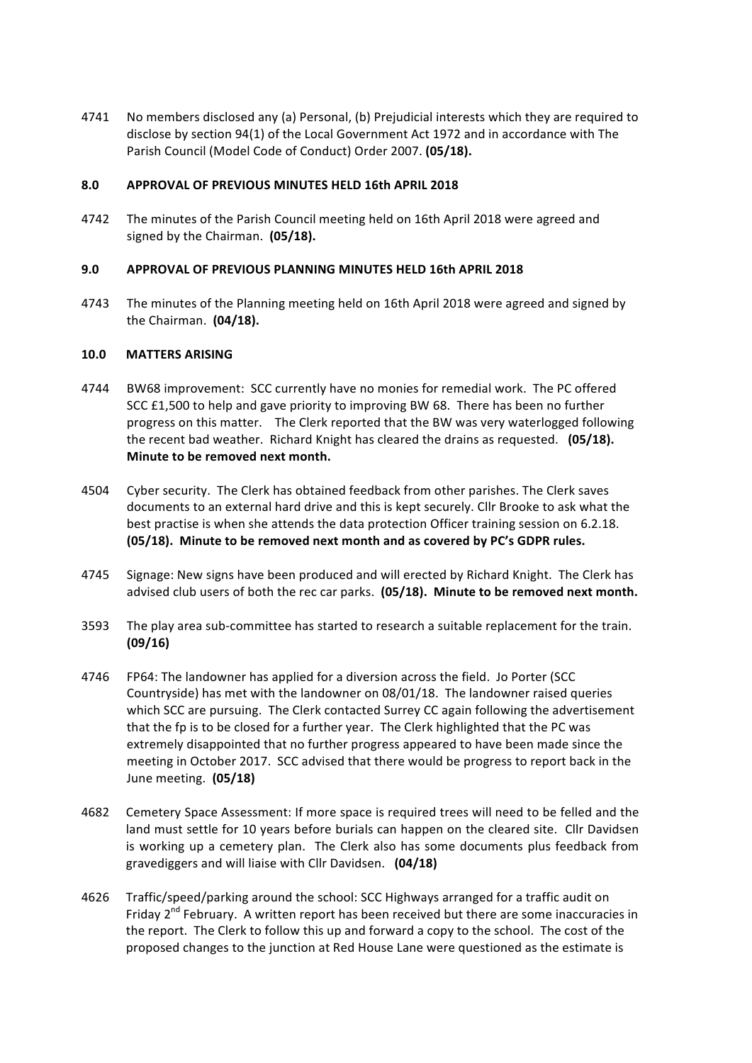4741 No members disclosed any (a) Personal, (b) Prejudicial interests which they are required to disclose by section 94(1) of the Local Government Act 1972 and in accordance with The Parish Council (Model Code of Conduct) Order 2007. **(05/18).** 

## **8.0 APPROVAL OF PREVIOUS MINUTES HELD 16th APRIL 2018**

4742 The minutes of the Parish Council meeting held on 16th April 2018 were agreed and signed by the Chairman. **(05/18).** 

# **9.0 APPROVAL OF PREVIOUS PLANNING MINUTES HELD 16th APRIL 2018**

4743 The minutes of the Planning meeting held on 16th April 2018 were agreed and signed by the Chairman. (04/18).

## **10.0 MATTERS ARISING**

- 4744 BW68 improvement: SCC currently have no monies for remedial work. The PC offered SCC £1,500 to help and gave priority to improving BW 68. There has been no further progress on this matter. The Clerk reported that the BW was very waterlogged following the recent bad weather. Richard Knight has cleared the drains as requested. (05/18). **Minute to be removed next month.**
- 4504 Cyber security. The Clerk has obtained feedback from other parishes. The Clerk saves documents to an external hard drive and this is kept securely. Cllr Brooke to ask what the best practise is when she attends the data protection Officer training session on 6.2.18. **(05/18).** Minute to be removed next month and as covered by PC's GDPR rules.
- 4745 Signage: New signs have been produced and will erected by Richard Knight. The Clerk has advised club users of both the rec car parks. (05/18). Minute to be removed next month.
- 3593 The play area sub-committee has started to research a suitable replacement for the train. **(09/16)**
- 4746 FP64: The landowner has applied for a diversion across the field. Jo Porter (SCC Countryside) has met with the landowner on  $08/01/18$ . The landowner raised queries which SCC are pursuing. The Clerk contacted Surrey CC again following the advertisement that the fp is to be closed for a further year. The Clerk highlighted that the PC was extremely disappointed that no further progress appeared to have been made since the meeting in October 2017. SCC advised that there would be progress to report back in the June meeting. **(05/18)**
- 4682 Cemetery Space Assessment: If more space is required trees will need to be felled and the land must settle for 10 years before burials can happen on the cleared site. Cllr Davidsen is working up a cemetery plan. The Clerk also has some documents plus feedback from gravediggers and will liaise with Cllr Davidsen. (04/18)
- 4626 Traffic/speed/parking around the school: SCC Highways arranged for a traffic audit on Friday  $2^{nd}$  February. A written report has been received but there are some inaccuracies in the report. The Clerk to follow this up and forward a copy to the school. The cost of the proposed changes to the junction at Red House Lane were questioned as the estimate is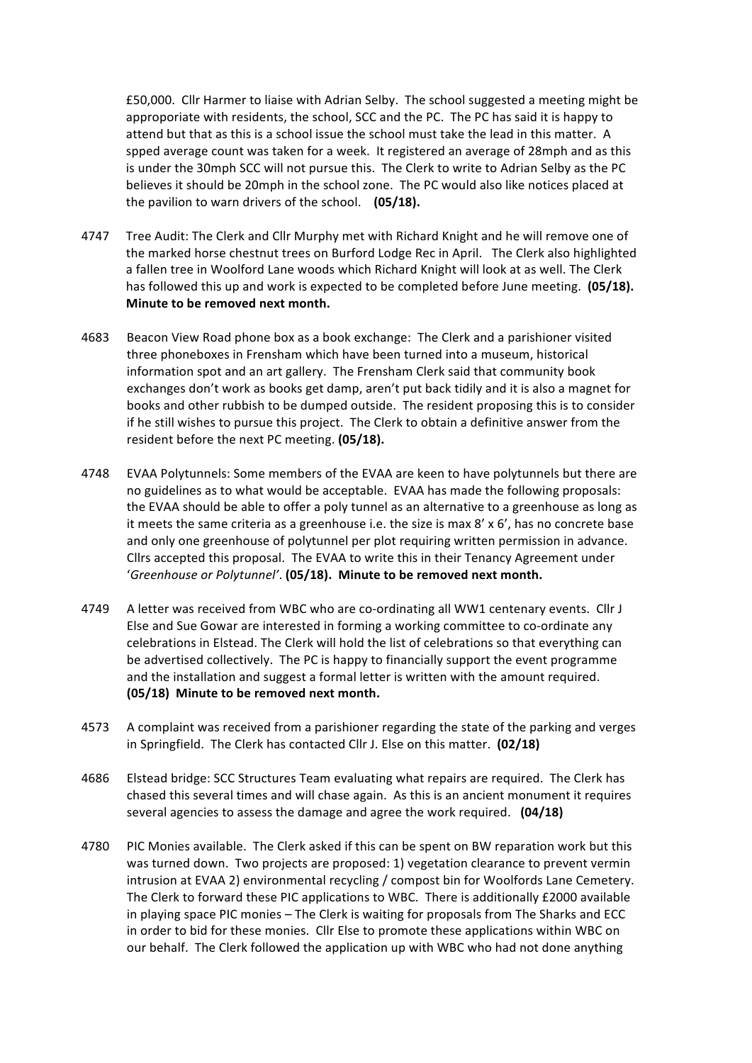£50,000. Cllr Harmer to liaise with Adrian Selby. The school suggested a meeting might be approporiate with residents, the school, SCC and the PC. The PC has said it is happy to attend but that as this is a school issue the school must take the lead in this matter. A spped average count was taken for a week. It registered an average of 28mph and as this is under the 30mph SCC will not pursue this. The Clerk to write to Adrian Selby as the PC believes it should be 20mph in the school zone. The PC would also like notices placed at the pavilion to warn drivers of the school. (05/18).

- 4747 Tree Audit: The Clerk and Cllr Murphy met with Richard Knight and he will remove one of the marked horse chestnut trees on Burford Lodge Rec in April. The Clerk also highlighted a fallen tree in Woolford Lane woods which Richard Knight will look at as well. The Clerk has followed this up and work is expected to be completed before June meeting. (05/18). **Minute to be removed next month.**
- 4683 Beacon View Road phone box as a book exchange: The Clerk and a parishioner visited three phoneboxes in Frensham which have been turned into a museum, historical information spot and an art gallery. The Frensham Clerk said that community book exchanges don't work as books get damp, aren't put back tidily and it is also a magnet for books and other rubbish to be dumped outside. The resident proposing this is to consider if he still wishes to pursue this project. The Clerk to obtain a definitive answer from the resident before the next PC meeting. **(05/18).**
- 4748 EVAA Polytunnels: Some members of the EVAA are keen to have polytunnels but there are no guidelines as to what would be acceptable. EVAA has made the following proposals: the EVAA should be able to offer a poly tunnel as an alternative to a greenhouse as long as it meets the same criteria as a greenhouse i.e. the size is max  $8'$  x  $6'$ , has no concrete base and only one greenhouse of polytunnel per plot requiring written permission in advance. Cllrs accepted this proposal. The EVAA to write this in their Tenancy Agreement under 'Greenhouse or Polytunnel'. **(05/18). Minute to be removed next month.**
- 4749 A letter was received from WBC who are co-ordinating all WW1 centenary events. Cllr J Else and Sue Gowar are interested in forming a working committee to co-ordinate any celebrations in Elstead. The Clerk will hold the list of celebrations so that everything can be advertised collectively. The PC is happy to financially support the event programme and the installation and suggest a formal letter is written with the amount required. **(05/18)** Minute to be removed next month.
- 4573 A complaint was received from a parishioner regarding the state of the parking and verges in Springfield. The Clerk has contacted Cllr J. Else on this matter. (02/18)
- 4686 Elstead bridge: SCC Structures Team evaluating what repairs are required. The Clerk has chased this several times and will chase again. As this is an ancient monument it requires several agencies to assess the damage and agree the work required. (04/18)
- 4780 PIC Monies available. The Clerk asked if this can be spent on BW reparation work but this was turned down. Two projects are proposed: 1) vegetation clearance to prevent vermin intrusion at EVAA 2) environmental recycling / compost bin for Woolfords Lane Cemetery. The Clerk to forward these PIC applications to WBC. There is additionally £2000 available in playing space PIC monies – The Clerk is waiting for proposals from The Sharks and ECC in order to bid for these monies. Cllr Else to promote these applications within WBC on our behalf. The Clerk followed the application up with WBC who had not done anything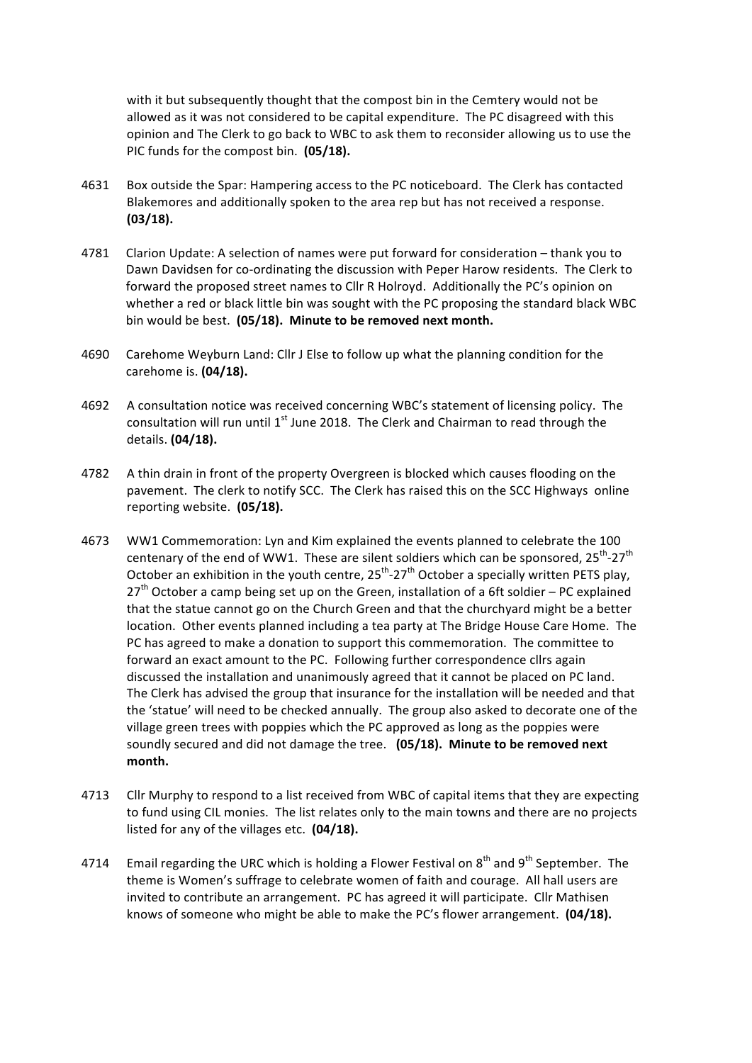with it but subsequently thought that the compost bin in the Cemtery would not be allowed as it was not considered to be capital expenditure. The PC disagreed with this opinion and The Clerk to go back to WBC to ask them to reconsider allowing us to use the PIC funds for the compost bin. (05/18).

- 4631 Box outside the Spar: Hampering access to the PC noticeboard. The Clerk has contacted Blakemores and additionally spoken to the area rep but has not received a response. **(03/18).**
- 4781 Clarion Update: A selection of names were put forward for consideration thank you to Dawn Davidsen for co-ordinating the discussion with Peper Harow residents. The Clerk to forward the proposed street names to Cllr R Holroyd. Additionally the PC's opinion on whether a red or black little bin was sought with the PC proposing the standard black WBC bin would be best. (05/18). Minute to be removed next month.
- 4690 Carehome Weyburn Land: Cllr J Else to follow up what the planning condition for the carehome is. **(04/18).**
- 4692 A consultation notice was received concerning WBC's statement of licensing policy. The consultation will run until  $1<sup>st</sup>$  June 2018. The Clerk and Chairman to read through the details. **(04/18).**
- 4782 A thin drain in front of the property Overgreen is blocked which causes flooding on the pavement. The clerk to notify SCC. The Clerk has raised this on the SCC Highways online reporting website. (05/18).
- 4673 WW1 Commemoration: Lyn and Kim explained the events planned to celebrate the 100 centenary of the end of WW1. These are silent soldiers which can be sponsored,  $25<sup>th</sup>$ -27<sup>th</sup> October an exhibition in the youth centre,  $25^{th}$ - $27^{th}$  October a specially written PETS play,  $27<sup>th</sup>$  October a camp being set up on the Green, installation of a 6ft soldier – PC explained that the statue cannot go on the Church Green and that the churchyard might be a better location. Other events planned including a tea party at The Bridge House Care Home. The PC has agreed to make a donation to support this commemoration. The committee to forward an exact amount to the PC. Following further correspondence cllrs again discussed the installation and unanimously agreed that it cannot be placed on PC land. The Clerk has advised the group that insurance for the installation will be needed and that the 'statue' will need to be checked annually. The group also asked to decorate one of the village green trees with poppies which the PC approved as long as the poppies were soundly secured and did not damage the tree. (05/18). Minute to be removed next **month.**
- 4713 Cllr Murphy to respond to a list received from WBC of capital items that they are expecting to fund using CIL monies. The list relates only to the main towns and there are no projects listed for any of the villages etc. (04/18).
- 4714 Email regarding the URC which is holding a Flower Festival on  $8<sup>th</sup>$  and  $9<sup>th</sup>$  September. The theme is Women's suffrage to celebrate women of faith and courage. All hall users are invited to contribute an arrangement. PC has agreed it will participate. Cllr Mathisen knows of someone who might be able to make the PC's flower arrangement. (04/18).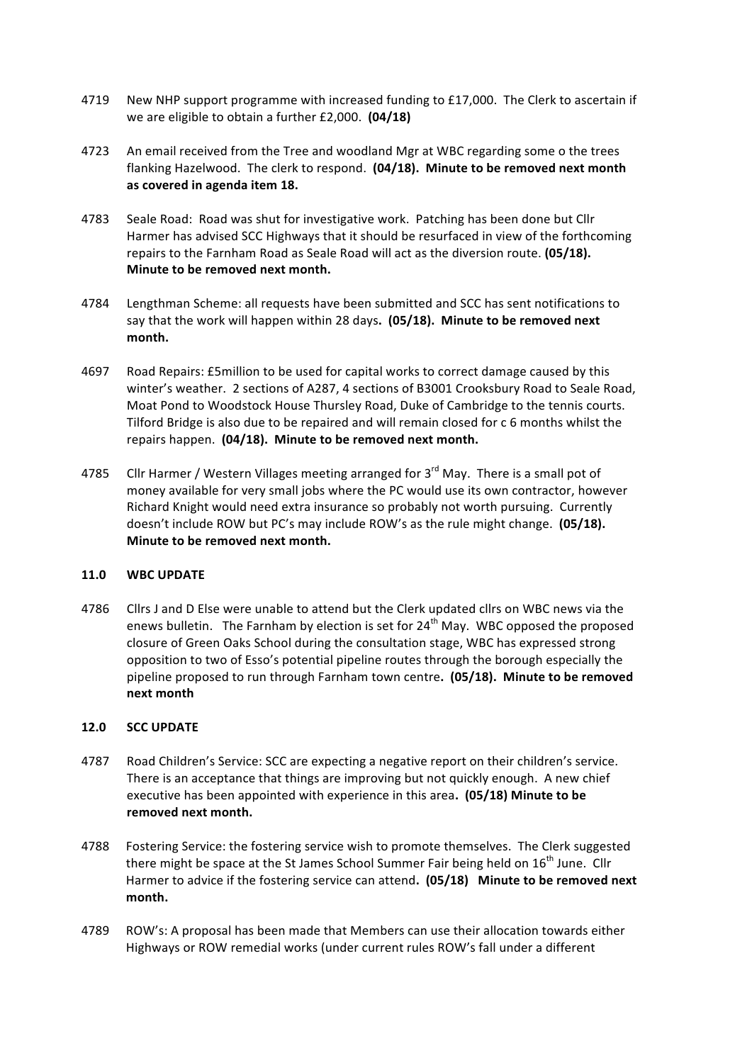- 4719 New NHP support programme with increased funding to £17,000. The Clerk to ascertain if we are eligible to obtain a further £2,000. **(04/18)**
- 4723 An email received from the Tree and woodland Mgr at WBC regarding some o the trees flanking Hazelwood. The clerk to respond. (04/18). Minute to be removed next month as covered in agenda item 18.
- 4783 Seale Road: Road was shut for investigative work. Patching has been done but Cllr Harmer has advised SCC Highways that it should be resurfaced in view of the forthcoming repairs to the Farnham Road as Seale Road will act as the diversion route. **(05/18). Minute to be removed next month.**
- 4784 Lengthman Scheme: all requests have been submitted and SCC has sent notifications to say that the work will happen within 28 days. (05/18). Minute to be removed next **month.**
- 4697 Road Repairs: £5million to be used for capital works to correct damage caused by this winter's weather. 2 sections of A287, 4 sections of B3001 Crooksbury Road to Seale Road, Moat Pond to Woodstock House Thursley Road, Duke of Cambridge to the tennis courts. Tilford Bridge is also due to be repaired and will remain closed for c 6 months whilst the repairs happen. (04/18). Minute to be removed next month.
- 4785 Cllr Harmer / Western Villages meeting arranged for  $3^{rd}$  May. There is a small pot of money available for very small jobs where the PC would use its own contractor, however Richard Knight would need extra insurance so probably not worth pursuing. Currently doesn't include ROW but PC's may include ROW's as the rule might change. (05/18). **Minute to be removed next month.**

## **11.0 WBC UPDATE**

4786 Cllrs J and D Else were unable to attend but the Clerk updated cllrs on WBC news via the enews bulletin. The Farnham by election is set for  $24<sup>th</sup>$  May. WBC opposed the proposed closure of Green Oaks School during the consultation stage, WBC has expressed strong opposition to two of Esso's potential pipeline routes through the borough especially the pipeline proposed to run through Farnham town centre. (05/18). Minute to be removed next month

## **12.0 SCC UPDATE**

- 4787 Road Children's Service: SCC are expecting a negative report on their children's service. There is an acceptance that things are improving but not quickly enough. A new chief executive has been appointed with experience in this area. **(05/18) Minute to be** removed next month.
- 4788 Fostering Service: the fostering service wish to promote themselves. The Clerk suggested there might be space at the St James School Summer Fair being held on  $16^{th}$  June. Cllr Harmer to advice if the fostering service can attend. (05/18) Minute to be removed next **month.**
- 4789 ROW's: A proposal has been made that Members can use their allocation towards either Highways or ROW remedial works (under current rules ROW's fall under a different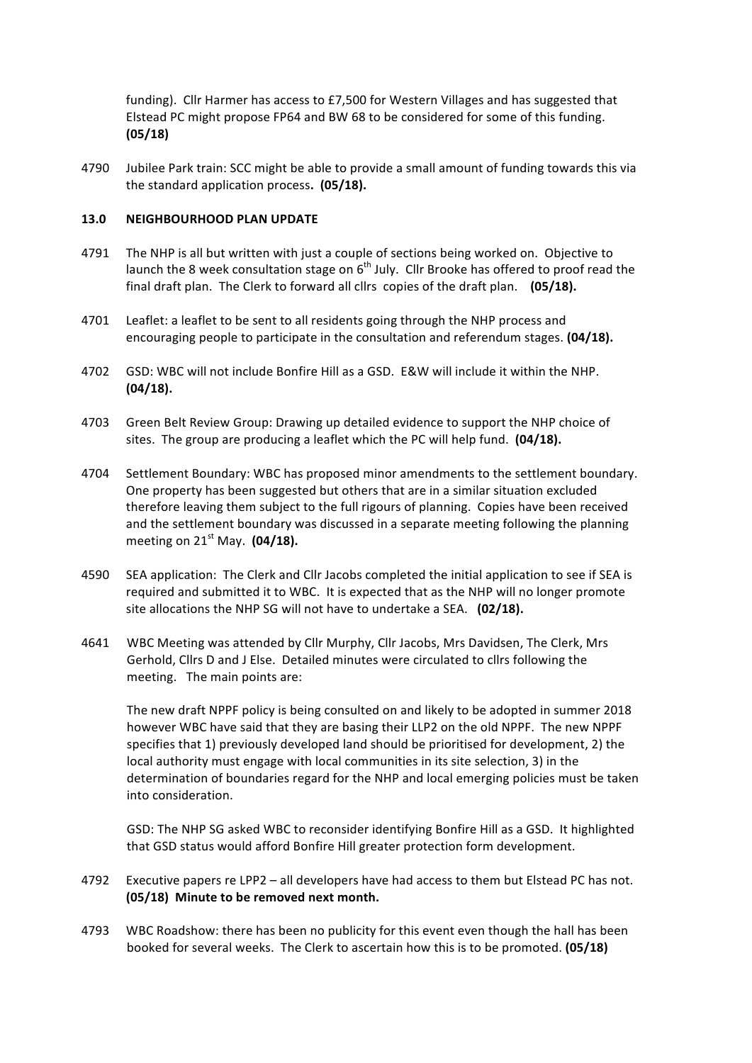funding). Cllr Harmer has access to £7,500 for Western Villages and has suggested that Elstead PC might propose FP64 and BW 68 to be considered for some of this funding. **(05/18)**

4790 Jubilee Park train: SCC might be able to provide a small amount of funding towards this via the standard application process. (05/18).

#### **13.0 NEIGHBOURHOOD PLAN UPDATE**

- 4791 The NHP is all but written with just a couple of sections being worked on. Objective to launch the 8 week consultation stage on  $6<sup>th</sup>$  July. Cllr Brooke has offered to proof read the final draft plan. The Clerk to forward all cllrs copies of the draft plan. (05/18).
- 4701 Leaflet: a leaflet to be sent to all residents going through the NHP process and encouraging people to participate in the consultation and referendum stages. (04/18).
- 4702 GSD: WBC will not include Bonfire Hill as a GSD. E&W will include it within the NHP. **(04/18).**
- 4703 Green Belt Review Group: Drawing up detailed evidence to support the NHP choice of sites. The group are producing a leaflet which the PC will help fund. (04/18).
- 4704 Settlement Boundary: WBC has proposed minor amendments to the settlement boundary. One property has been suggested but others that are in a similar situation excluded therefore leaving them subject to the full rigours of planning. Copies have been received and the settlement boundary was discussed in a separate meeting following the planning meeting on  $21^{st}$  May.  $(04/18)$ .
- 4590 SEA application: The Clerk and Cllr Jacobs completed the initial application to see if SEA is required and submitted it to WBC. It is expected that as the NHP will no longer promote site allocations the NHP SG will not have to undertake a SEA. (02/18).
- 4641 WBC Meeting was attended by Cllr Murphy, Cllr Jacobs, Mrs Davidsen, The Clerk, Mrs Gerhold, Cllrs D and J Else. Detailed minutes were circulated to cllrs following the meeting. The main points are:

The new draft NPPF policy is being consulted on and likely to be adopted in summer 2018 however WBC have said that they are basing their LLP2 on the old NPPF. The new NPPF specifies that 1) previously developed land should be prioritised for development, 2) the local authority must engage with local communities in its site selection, 3) in the determination of boundaries regard for the NHP and local emerging policies must be taken into consideration.

GSD: The NHP SG asked WBC to reconsider identifying Bonfire Hill as a GSD. It highlighted that GSD status would afford Bonfire Hill greater protection form development.

- 4792 Executive papers re LPP2 all developers have had access to them but Elstead PC has not. **(05/18)** Minute to be removed next month.
- 4793 WBC Roadshow: there has been no publicity for this event even though the hall has been booked for several weeks. The Clerk to ascertain how this is to be promoted. **(05/18)**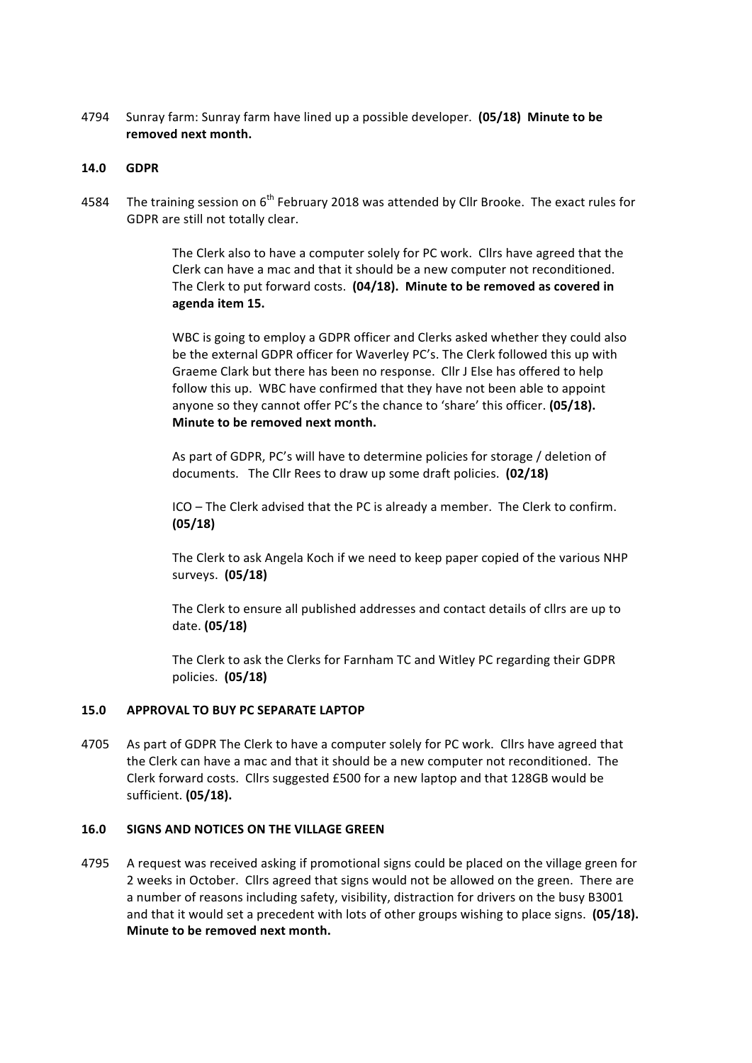4794 Sunray farm: Sunray farm have lined up a possible developer. (05/18) Minute to be removed next month.

#### **14.0 GDPR**

4584 The training session on  $6<sup>th</sup>$  February 2018 was attended by Cllr Brooke. The exact rules for GDPR are still not totally clear.

> The Clerk also to have a computer solely for PC work. Cllrs have agreed that the Clerk can have a mac and that it should be a new computer not reconditioned. The Clerk to put forward costs. (04/18). Minute to be removed as covered in **agenda item 15.**

> WBC is going to employ a GDPR officer and Clerks asked whether they could also be the external GDPR officer for Waverley PC's. The Clerk followed this up with Graeme Clark but there has been no response. Cllr J Else has offered to help follow this up. WBC have confirmed that they have not been able to appoint anyone so they cannot offer PC's the chance to 'share' this officer. **(05/18). Minute to be removed next month.**

As part of GDPR, PC's will have to determine policies for storage / deletion of documents. The Cllr Rees to draw up some draft policies. (02/18)

ICO – The Clerk advised that the PC is already a member. The Clerk to confirm. **(05/18)**

The Clerk to ask Angela Koch if we need to keep paper copied of the various NHP surveys. **(05/18)**

The Clerk to ensure all published addresses and contact details of clirs are up to date. **(05/18)**

The Clerk to ask the Clerks for Farnham TC and Witley PC regarding their GDPR policies. **(05/18)**

#### **15.0 APPROVAL TO BUY PC SEPARATE LAPTOP**

4705 As part of GDPR The Clerk to have a computer solely for PC work. Cllrs have agreed that the Clerk can have a mac and that it should be a new computer not reconditioned. The Clerk forward costs. Cllrs suggested £500 for a new laptop and that 128GB would be sufficient. **(05/18).**

#### **16.0 SIGNS AND NOTICES ON THE VILLAGE GREEN**

4795 A request was received asking if promotional signs could be placed on the village green for 2 weeks in October. Cllrs agreed that signs would not be allowed on the green. There are a number of reasons including safety, visibility, distraction for drivers on the busy B3001 and that it would set a precedent with lots of other groups wishing to place signs. (05/18). **Minute to be removed next month.**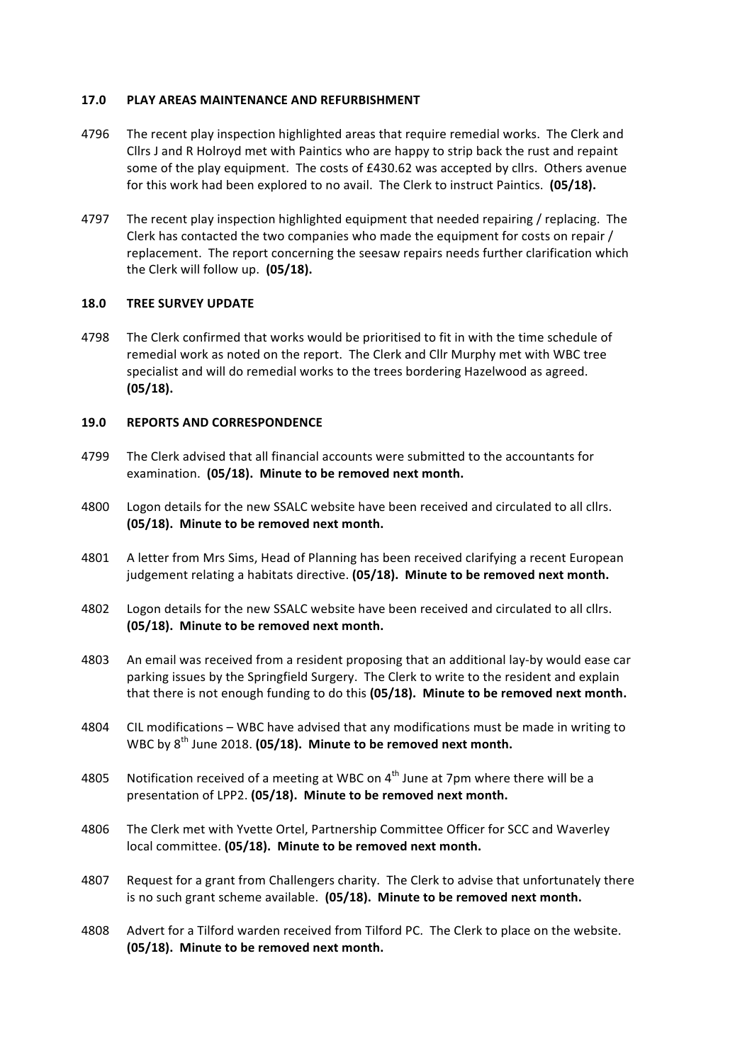## **17.0 PLAY AREAS MAINTENANCE AND REFURBISHMENT**

- 4796 The recent play inspection highlighted areas that require remedial works. The Clerk and Cllrs J and R Holroyd met with Paintics who are happy to strip back the rust and repaint some of the play equipment. The costs of £430.62 was accepted by cllrs. Others avenue for this work had been explored to no avail. The Clerk to instruct Paintics. (05/18).
- 4797 The recent play inspection highlighted equipment that needed repairing / replacing. The Clerk has contacted the two companies who made the equipment for costs on repair / replacement. The report concerning the seesaw repairs needs further clarification which the Clerk will follow up. (05/18).

#### **18.0 TREE SURVEY UPDATE**

4798 The Clerk confirmed that works would be prioritised to fit in with the time schedule of remedial work as noted on the report. The Clerk and Cllr Murphy met with WBC tree specialist and will do remedial works to the trees bordering Hazelwood as agreed. **(05/18).** 

#### **19.0 REPORTS AND CORRESPONDENCE**

- 4799 The Clerk advised that all financial accounts were submitted to the accountants for examination. (05/18). Minute to be removed next month.
- 4800 Logon details for the new SSALC website have been received and circulated to all cllrs. **(05/18).** Minute to be removed next month.
- 4801 A letter from Mrs Sims, Head of Planning has been received clarifying a recent European judgement relating a habitats directive. (05/18). Minute to be removed next month.
- 4802 Logon details for the new SSALC website have been received and circulated to all cllrs. **(05/18).** Minute to be removed next month.
- 4803 An email was received from a resident proposing that an additional lay-by would ease car parking issues by the Springfield Surgery. The Clerk to write to the resident and explain that there is not enough funding to do this (05/18). Minute to be removed next month.
- 4804 CIL modifications WBC have advised that any modifications must be made in writing to WBC by 8<sup>th</sup> June 2018. (05/18). Minute to be removed next month.
- 4805 Notification received of a meeting at WBC on  $4^{th}$  June at 7pm where there will be a presentation of LPP2. (05/18). Minute to be removed next month.
- 4806 The Clerk met with Yvette Ortel, Partnership Committee Officer for SCC and Waverley local committee. (05/18). Minute to be removed next month.
- 4807 Request for a grant from Challengers charity. The Clerk to advise that unfortunately there is no such grant scheme available. (05/18). Minute to be removed next month.
- 4808 Advert for a Tilford warden received from Tilford PC. The Clerk to place on the website. **(05/18).** Minute to be removed next month.